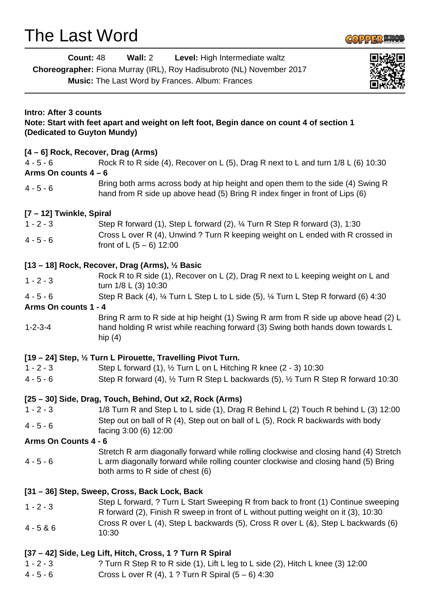# The Last Word



| <b>Count: 48</b>                                                                                                                                        | Wall: 2<br>Level: High Intermediate waltz                                                                                                                                                                        |  |
|---------------------------------------------------------------------------------------------------------------------------------------------------------|------------------------------------------------------------------------------------------------------------------------------------------------------------------------------------------------------------------|--|
|                                                                                                                                                         | Choreographer: Fiona Murray (IRL), Roy Hadisubroto (NL) November 2017                                                                                                                                            |  |
|                                                                                                                                                         | Music: The Last Word by Frances. Album: Frances                                                                                                                                                                  |  |
|                                                                                                                                                         |                                                                                                                                                                                                                  |  |
| <b>Intro: After 3 counts</b><br>Note: Start with feet apart and weight on left foot, Begin dance on count 4 of section 1<br>(Dedicated to Guyton Mundy) |                                                                                                                                                                                                                  |  |
| [4 – 6] Rock, Recover, Drag (Arms)                                                                                                                      |                                                                                                                                                                                                                  |  |
| $4 - 5 - 6$                                                                                                                                             | Rock R to R side (4), Recover on L (5), Drag R next to L and turn 1/8 L (6) 10:30                                                                                                                                |  |
| Arms On counts $4-6$                                                                                                                                    |                                                                                                                                                                                                                  |  |
| $4 - 5 - 6$                                                                                                                                             | Bring both arms across body at hip height and open them to the side (4) Swing R<br>hand from R side up above head (5) Bring R index finger in front of Lips (6)                                                  |  |
| [7 - 12] Twinkle, Spiral                                                                                                                                |                                                                                                                                                                                                                  |  |
| $1 - 2 - 3$                                                                                                                                             | Step R forward (1), Step L forward (2), 1/4 Turn R Step R forward (3), 1:30                                                                                                                                      |  |
| $4 - 5 - 6$                                                                                                                                             | Cross L over R (4), Unwind ? Turn R keeping weight on L ended with R crossed in<br>front of L $(5 - 6)$ 12:00                                                                                                    |  |
| [13 – 18] Rock, Recover, Drag (Arms), $\frac{1}{2}$ Basic                                                                                               |                                                                                                                                                                                                                  |  |
| $1 - 2 - 3$                                                                                                                                             | Rock R to R side (1), Recover on L (2), Drag R next to L keeping weight on L and                                                                                                                                 |  |
|                                                                                                                                                         | turn 1/8 L (3) 10:30                                                                                                                                                                                             |  |
| $4 - 5 - 6$                                                                                                                                             | Step R Back (4), 1/4 Turn L Step L to L side (5), 1/4 Turn L Step R forward (6) 4:30                                                                                                                             |  |
| Arms On counts 1 - 4                                                                                                                                    |                                                                                                                                                                                                                  |  |
| $1 - 2 - 3 - 4$                                                                                                                                         | Bring R arm to R side at hip height (1) Swing R arm from R side up above head (2) L<br>hand holding R wrist while reaching forward (3) Swing both hands down towards L<br>hip $(4)$                              |  |
| [19 – 24] Step, 1/2 Turn L Pirouette, Travelling Pivot Turn.                                                                                            |                                                                                                                                                                                                                  |  |
| $1 - 2 - 3$                                                                                                                                             | Step L forward (1), $\frac{1}{2}$ Turn L on L Hitching R knee (2 - 3) 10:30                                                                                                                                      |  |
| $4 - 5 - 6$                                                                                                                                             | Step R forward (4), 1/2 Turn R Step L backwards (5), 1/2 Turn R Step R forward 10:30                                                                                                                             |  |
| [25 – 30] Side, Drag, Touch, Behind, Out x2, Rock (Arms)                                                                                                |                                                                                                                                                                                                                  |  |
| $1 - 2 - 3$                                                                                                                                             | 1/8 Turn R and Step L to L side (1), Drag R Behind L (2) Touch R behind L (3) 12:00                                                                                                                              |  |
| $4 - 5 - 6$                                                                                                                                             | Step out on ball of R (4), Step out on ball of L (5), Rock R backwards with body<br>facing 3:00 (6) 12:00                                                                                                        |  |
| Arms On Counts 4 - 6                                                                                                                                    |                                                                                                                                                                                                                  |  |
| $4 - 5 - 6$                                                                                                                                             | Stretch R arm diagonally forward while rolling clockwise and closing hand (4) Stretch<br>L arm diagonally forward while rolling counter clockwise and closing hand (5) Bring<br>both arms to R side of chest (6) |  |
| [31 – 36] Step, Sweep, Cross, Back Lock, Back                                                                                                           |                                                                                                                                                                                                                  |  |
| $1 - 2 - 3$                                                                                                                                             | Step L forward, ? Turn L Start Sweeping R from back to front (1) Continue sweeping<br>R forward (2), Finish R sweep in front of L without putting weight on it (3), 10:30                                        |  |
| $4 - 5 & 6$                                                                                                                                             | Cross R over L (4), Step L backwards (5), Cross R over L (&), Step L backwards (6)<br>10:30                                                                                                                      |  |
| $1 - 2 - 3$<br>$4 - 5 - 6$                                                                                                                              | [37 – 42] Side, Leg Lift, Hitch, Cross, 1 ? Turn R Spiral<br>? Turn R Step R to R side (1), Lift L leg to L side (2), Hitch L knee (3) 12:00<br>Cross L over R (4), 1 ? Turn R Spiral $(5 - 6)$ 4:30             |  |